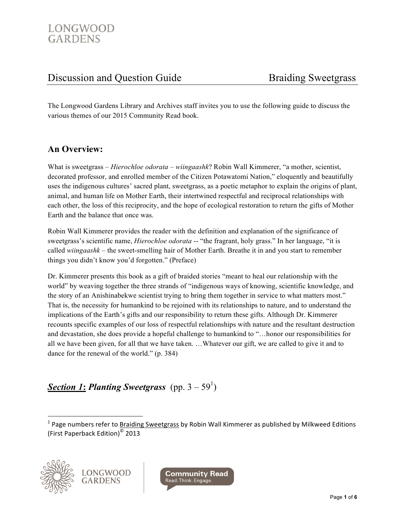The Longwood Gardens Library and Archives staff invites you to use the following guide to discuss the various themes of our 2015 Community Read book.

# **An Overview:**

What is sweetgrass – *Hierochloe odorata* – *wiingaashk*? Robin Wall Kimmerer, "a mother, scientist, decorated professor, and enrolled member of the Citizen Potawatomi Nation," eloquently and beautifully uses the indigenous cultures' sacred plant, sweetgrass, as a poetic metaphor to explain the origins of plant, animal, and human life on Mother Earth, their intertwined respectful and reciprocal relationships with each other, the loss of this reciprocity, and the hope of ecological restoration to return the gifts of Mother Earth and the balance that once was.

Robin Wall Kimmerer provides the reader with the definition and explanation of the significance of sweetgrass's scientific name, *Hierochloe odorata* -- "the fragrant, holy grass." In her language, "it is called *wiingaashk –* the sweet-smelling hair of Mother Earth. Breathe it in and you start to remember things you didn't know you'd forgotten." (Preface)

Dr. Kimmerer presents this book as a gift of braided stories "meant to heal our relationship with the world" by weaving together the three strands of "indigenous ways of knowing, scientific knowledge, and the story of an Anishinabekwe scientist trying to bring them together in service to what matters most." That is, the necessity for humankind to be rejoined with its relationships to nature, and to understand the implications of the Earth's gifts and our responsibility to return these gifts. Although Dr. Kimmerer recounts specific examples of our loss of respectful relationships with nature and the resultant destruction and devastation, she does provide a hopeful challenge to humankind to "…honor our responsibilities for all we have been given, for all that we have taken. …Whatever our gift, we are called to give it and to dance for the renewal of the world." (p. 384)

# **Section 1: Planting Sweetgrass** (pp. 3 – 59<sup>1</sup>)

<sup>&</sup>lt;sup>1</sup> Page numbers refer to <u>Braiding Sweetgrass</u> by Robin Wall Kimmerer as published by Milkweed Editions (First Paperback Edition)<sup>©</sup> 2013



!!!!!!!!!!!!!!!!!!!!!!!!!!!!!!!!!!!!!!!!!!!!!!!!!!!!!!!!!!!!

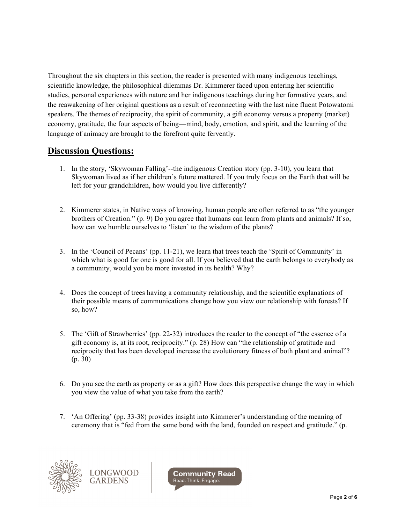Throughout the six chapters in this section, the reader is presented with many indigenous teachings, scientific knowledge, the philosophical dilemmas Dr. Kimmerer faced upon entering her scientific studies, personal experiences with nature and her indigenous teachings during her formative years, and the reawakening of her original questions as a result of reconnecting with the last nine fluent Potowatomi speakers. The themes of reciprocity, the spirit of community, a gift economy versus a property (market) economy, gratitude, the four aspects of being—mind, body, emotion, and spirit, and the learning of the language of animacy are brought to the forefront quite fervently.

#### **Discussion Questions:**

- 1. In the story, 'Skywoman Falling'--the indigenous Creation story (pp. 3-10), you learn that Skywoman lived as if her children's future mattered. If you truly focus on the Earth that will be left for your grandchildren, how would you live differently?
- 2. Kimmerer states, in Native ways of knowing, human people are often referred to as "the younger brothers of Creation." (p. 9) Do you agree that humans can learn from plants and animals? If so, how can we humble ourselves to 'listen' to the wisdom of the plants?
- 3. In the 'Council of Pecans' (pp. 11-21), we learn that trees teach the 'Spirit of Community' in which what is good for one is good for all. If you believed that the earth belongs to everybody as a community, would you be more invested in its health? Why?
- 4. Does the concept of trees having a community relationship, and the scientific explanations of their possible means of communications change how you view our relationship with forests? If so, how?
- 5. The 'Gift of Strawberries' (pp. 22-32) introduces the reader to the concept of "the essence of a gift economy is, at its root, reciprocity." (p. 28) How can "the relationship of gratitude and reciprocity that has been developed increase the evolutionary fitness of both plant and animal"? (p. 30)
- 6. Do you see the earth as property or as a gift? How does this perspective change the way in which you view the value of what you take from the earth?
- 7. 'An Offering' (pp. 33-38) provides insight into Kimmerer's understanding of the meaning of ceremony that is "fed from the same bond with the land, founded on respect and gratitude." (p.



LONGWOOD **GARDENS** 

**Community Read** Read. Think. Engage.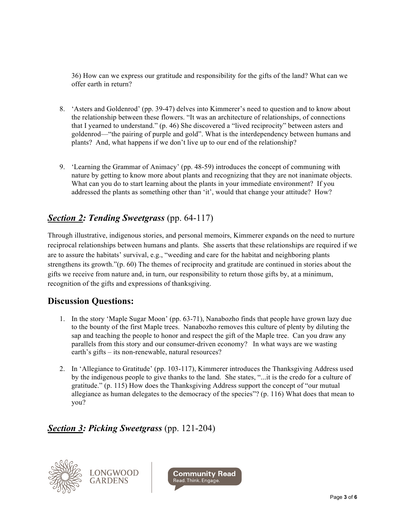36) How can we express our gratitude and responsibility for the gifts of the land? What can we offer earth in return?

- 8. 'Asters and Goldenrod' (pp. 39-47) delves into Kimmerer's need to question and to know about the relationship between these flowers. "It was an architecture of relationships, of connections that I yearned to understand." (p. 46) She discovered a "lived reciprocity" between asters and goldenrod—"the pairing of purple and gold". What is the interdependency between humans and plants? And, what happens if we don't live up to our end of the relationship?
- 9. 'Learning the Grammar of Animacy' (pp. 48-59) introduces the concept of communing with nature by getting to know more about plants and recognizing that they are not inanimate objects. What can you do to start learning about the plants in your immediate environment? If you addressed the plants as something other than 'it', would that change your attitude? How?

# *Section 2: Tending Sweetgrass* (pp. 64-117)

Through illustrative, indigenous stories, and personal memoirs, Kimmerer expands on the need to nurture reciprocal relationships between humans and plants. She asserts that these relationships are required if we are to assure the habitats' survival, e.g., "weeding and care for the habitat and neighboring plants strengthens its growth."(p. 60) The themes of reciprocity and gratitude are continued in stories about the gifts we receive from nature and, in turn, our responsibility to return those gifts by, at a minimum, recognition of the gifts and expressions of thanksgiving.

# **Discussion Questions:**

- 1. In the story 'Maple Sugar Moon' (pp. 63-71), Nanabozho finds that people have grown lazy due to the bounty of the first Maple trees. Nanabozho removes this culture of plenty by diluting the sap and teaching the people to honor and respect the gift of the Maple tree. Can you draw any parallels from this story and our consumer-driven economy? In what ways are we wasting earth's gifts – its non-renewable, natural resources?
- 2. In 'Allegiance to Gratitude' (pp. 103-117), Kimmerer introduces the Thanksgiving Address used by the indigenous people to give thanks to the land. She states, "...it is the credo for a culture of gratitude." (p. 115) How does the Thanksgiving Address support the concept of "our mutual allegiance as human delegates to the democracy of the species"? (p. 116) What does that mean to you?

# *Section 3: Picking Sweetgrass* (pp. 121-204)



LONGWOOD **GARDENS** 

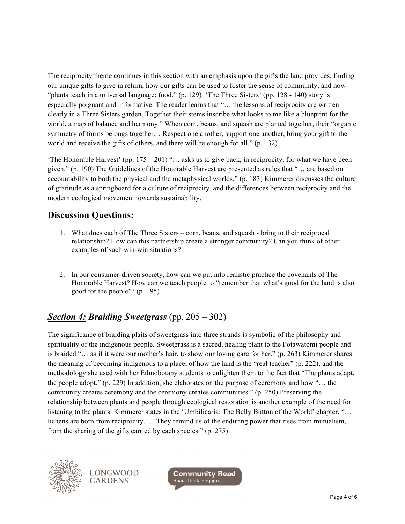The reciprocity theme continues in this section with an emphasis upon the gifts the land provides, finding our unique gifts to give in return, how our gifts can be used to foster the sense of community, and how "plants teach in a universal language: food." (p. 129) 'The Three Sisters' (pp. 128 - 140) story is especially poignant and informative. The reader learns that "… the lessons of reciprocity are written clearly in a Three Sisters garden. Together their stems inscribe what looks to me like a blueprint for the world, a map of balance and harmony." When corn, beans, and squash are planted together, their "organic symmetry of forms belongs together… Respect one another, support one another, bring your gift to the world and receive the gifts of others, and there will be enough for all." (p. 132)

'The Honorable Harvest' (pp. 175 – 201) "… asks us to give back, in reciprocity, for what we have been given." (p. 190) The Guidelines of the Honorable Harvest are presented as rules that "… are based on accountability to both the physical and the metaphysical worlds." (p. 183) Kimmerer discusses the culture of gratitude as a springboard for a culture of reciprocity, and the differences between reciprocity and the modern ecological movement towards sustainability.

#### **Discussion Questions:**

- 1. What does each of The Three Sisters corn, beans, and squash bring to their reciprocal relationship? How can this partnership create a stronger community? Can you think of other examples of such win-win situations?
- 2. In our consumer-driven society, how can we put into realistic practice the covenants of The Honorable Harvest? How can we teach people to "remember that what's good for the land is also good for the people"? (p. 195)

# *Section 4: Braiding Sweetgrass* (pp. 205 – 302)

The significance of braiding plaits of sweetgrass into three strands is symbolic of the philosophy and spirituality of the indigenous people. Sweetgrass is a sacred, healing plant to the Potawatomi people and is braided "… as if it were our mother's hair, to show our loving care for her." (p. 263) Kimmerer shares the meaning of becoming indigenous to a place, of how the land is the "real teacher" (p. 222), and the methodology she used with her Ethnobotany students to enlighten them to the fact that "The plants adapt, the people adopt." (p. 229) In addition, she elaborates on the purpose of ceremony and how "… the community creates ceremony and the ceremony creates communities." (p. 250) Preserving the relationship between plants and people through ecological restoration is another example of the need for listening to the plants. Kimmerer states in the 'Umbilicaria: The Belly Button of the World' chapter, "… lichens are born from reciprocity. … They remind us of the enduring power that rises from mutualism, from the sharing of the gifts carried by each species." (p. 275)



LONGWOOD **GARDENS** 

**Community Read** Read. Think. Engage.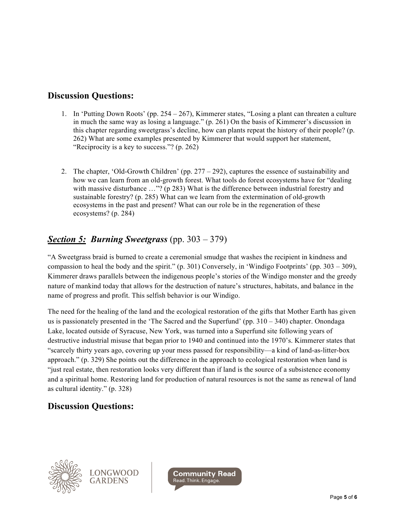# **Discussion Questions:**

- 1. In 'Putting Down Roots' (pp. 254 267), Kimmerer states, "Losing a plant can threaten a culture in much the same way as losing a language." (p. 261) On the basis of Kimmerer's discussion in this chapter regarding sweetgrass's decline, how can plants repeat the history of their people? (p. 262) What are some examples presented by Kimmerer that would support her statement, "Reciprocity is a key to success."? (p. 262)
- 2. The chapter, 'Old-Growth Children' (pp.  $277 292$ ), captures the essence of sustainability and how we can learn from an old-growth forest. What tools do forest ecosystems have for "dealing with massive disturbance ..."? (p 283) What is the difference between industrial forestry and sustainable forestry? (p. 285) What can we learn from the extermination of old-growth ecosystems in the past and present? What can our role be in the regeneration of these ecosystems? (p. 284)

# *Section 5: Burning Sweetgrass* (pp. 303 – 379)

"A Sweetgrass braid is burned to create a ceremonial smudge that washes the recipient in kindness and compassion to heal the body and the spirit."  $(p. 301)$  Conversely, in 'Windigo Footprints' (pp. 303 – 309), Kimmerer draws parallels between the indigenous people's stories of the Windigo monster and the greedy nature of mankind today that allows for the destruction of nature's structures, habitats, and balance in the name of progress and profit. This selfish behavior is our Windigo.

The need for the healing of the land and the ecological restoration of the gifts that Mother Earth has given us is passionately presented in the 'The Sacred and the Superfund' (pp.  $310 - 340$ ) chapter. Onondaga Lake, located outside of Syracuse, New York, was turned into a Superfund site following years of destructive industrial misuse that began prior to 1940 and continued into the 1970's. Kimmerer states that "scarcely thirty years ago, covering up your mess passed for responsibility—a kind of land-as-litter-box approach." (p. 329) She points out the difference in the approach to ecological restoration when land is "just real estate, then restoration looks very different than if land is the source of a subsistence economy and a spiritual home. Restoring land for production of natural resources is not the same as renewal of land as cultural identity." (p. 328)

# **Discussion Questions:**